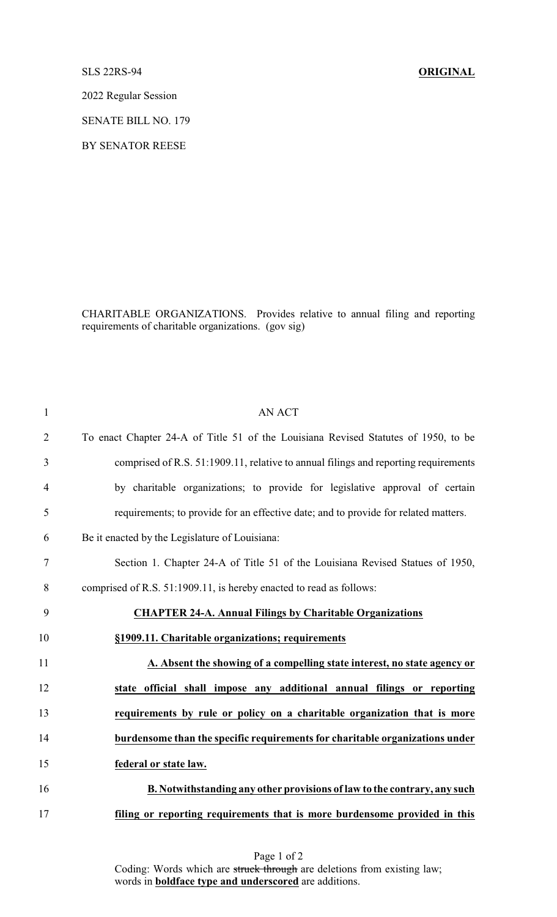## SLS 22RS-94 **ORIGINAL**

2022 Regular Session

SENATE BILL NO. 179

BY SENATOR REESE

CHARITABLE ORGANIZATIONS. Provides relative to annual filing and reporting requirements of charitable organizations. (gov sig)

| $\mathbf{1}$     | <b>AN ACT</b>                                                                       |
|------------------|-------------------------------------------------------------------------------------|
| $\overline{2}$   | To enact Chapter 24-A of Title 51 of the Louisiana Revised Statutes of 1950, to be  |
| 3                | comprised of R.S. 51:1909.11, relative to annual filings and reporting requirements |
| $\overline{4}$   | by charitable organizations; to provide for legislative approval of certain         |
| 5                | requirements; to provide for an effective date; and to provide for related matters. |
| 6                | Be it enacted by the Legislature of Louisiana:                                      |
| $\boldsymbol{7}$ | Section 1. Chapter 24-A of Title 51 of the Louisiana Revised Statues of 1950,       |
| 8                | comprised of R.S. 51:1909.11, is hereby enacted to read as follows:                 |
| 9                | <b>CHAPTER 24-A. Annual Filings by Charitable Organizations</b>                     |
| 10               | §1909.11. Charitable organizations; requirements                                    |
| 11               | A. Absent the showing of a compelling state interest, no state agency or            |
| 12               | state official shall impose any additional annual filings or reporting              |
| 13               | requirements by rule or policy on a charitable organization that is more            |
| 14               | burdensome than the specific requirements for charitable organizations under        |
| 15               | federal or state law.                                                               |
| 16               | <b>B. Notwithstanding any other provisions of law to the contrary, any such</b>     |
| 17               | filing or reporting requirements that is more burdensome provided in this           |

Page 1 of 2 Coding: Words which are struck through are deletions from existing law; words in **boldface type and underscored** are additions.